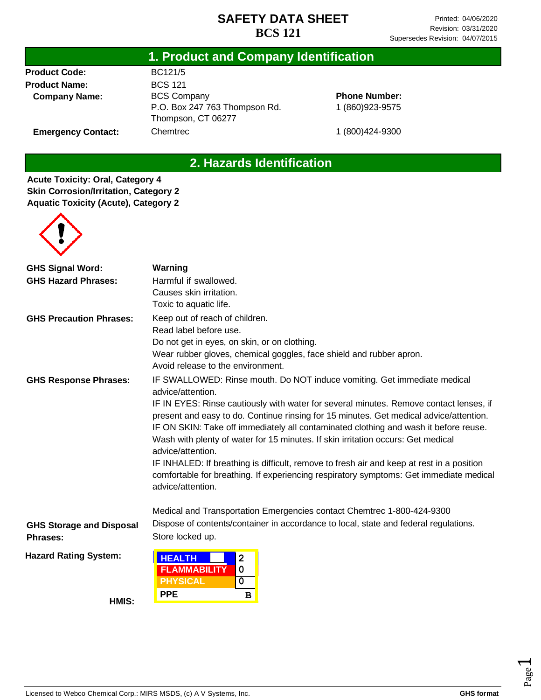#### **1. Product and Company Identification**

**Product Code: Product Name: Company Name:**

**Emergency Contact:**

BC121/5 BCS 121 BCS Company P.O. Box 247 763 Thompson Rd. Thompson, CT 06277 **Chemtrec** 

**Phone Number:** 1 (860)923-9575

1 (800)424-9300

# **2. Hazards Identification**

**Acute Toxicity: Oral, Category 4 Skin Corrosion/Irritation, Category 2 Aquatic Toxicity (Acute), Category 2**



| <b>GHS Signal Word:</b>         | Warning                                                                                                                                                                                                                                                                                                                                                                                                                                                                                                                                                                                       |  |  |  |  |
|---------------------------------|-----------------------------------------------------------------------------------------------------------------------------------------------------------------------------------------------------------------------------------------------------------------------------------------------------------------------------------------------------------------------------------------------------------------------------------------------------------------------------------------------------------------------------------------------------------------------------------------------|--|--|--|--|
| <b>GHS Hazard Phrases:</b>      | Harmful if swallowed.                                                                                                                                                                                                                                                                                                                                                                                                                                                                                                                                                                         |  |  |  |  |
|                                 | Causes skin irritation.                                                                                                                                                                                                                                                                                                                                                                                                                                                                                                                                                                       |  |  |  |  |
|                                 | Toxic to aquatic life.                                                                                                                                                                                                                                                                                                                                                                                                                                                                                                                                                                        |  |  |  |  |
| <b>GHS Precaution Phrases:</b>  | Keep out of reach of children.                                                                                                                                                                                                                                                                                                                                                                                                                                                                                                                                                                |  |  |  |  |
|                                 | Read label before use.                                                                                                                                                                                                                                                                                                                                                                                                                                                                                                                                                                        |  |  |  |  |
|                                 | Do not get in eyes, on skin, or on clothing.                                                                                                                                                                                                                                                                                                                                                                                                                                                                                                                                                  |  |  |  |  |
|                                 | Wear rubber gloves, chemical goggles, face shield and rubber apron.                                                                                                                                                                                                                                                                                                                                                                                                                                                                                                                           |  |  |  |  |
|                                 | Avoid release to the environment.                                                                                                                                                                                                                                                                                                                                                                                                                                                                                                                                                             |  |  |  |  |
| <b>GHS Response Phrases:</b>    | IF SWALLOWED: Rinse mouth. Do NOT induce vomiting. Get immediate medical<br>advice/attention.                                                                                                                                                                                                                                                                                                                                                                                                                                                                                                 |  |  |  |  |
|                                 | IF IN EYES: Rinse cautiously with water for several minutes. Remove contact lenses, if<br>present and easy to do. Continue rinsing for 15 minutes. Get medical advice/attention.<br>IF ON SKIN: Take off immediately all contaminated clothing and wash it before reuse.<br>Wash with plenty of water for 15 minutes. If skin irritation occurs: Get medical<br>advice/attention.<br>IF INHALED: If breathing is difficult, remove to fresh air and keep at rest in a position<br>comfortable for breathing. If experiencing respiratory symptoms: Get immediate medical<br>advice/attention. |  |  |  |  |
|                                 | Medical and Transportation Emergencies contact Chemtrec 1-800-424-9300                                                                                                                                                                                                                                                                                                                                                                                                                                                                                                                        |  |  |  |  |
| <b>GHS Storage and Disposal</b> | Dispose of contents/container in accordance to local, state and federal regulations.                                                                                                                                                                                                                                                                                                                                                                                                                                                                                                          |  |  |  |  |
| <b>Phrases:</b>                 | Store locked up.                                                                                                                                                                                                                                                                                                                                                                                                                                                                                                                                                                              |  |  |  |  |
| <b>Hazard Rating System:</b>    | <b>HEALTH</b><br>$\overline{\mathbf{2}}$<br><b>FLAMMABILITY</b><br>0<br><b>PHYSICAL</b><br>$\overline{\mathbf{0}}$                                                                                                                                                                                                                                                                                                                                                                                                                                                                            |  |  |  |  |
|                                 | <b>PPE</b><br>$\, {\bf B}$                                                                                                                                                                                                                                                                                                                                                                                                                                                                                                                                                                    |  |  |  |  |
| HMIS:                           |                                                                                                                                                                                                                                                                                                                                                                                                                                                                                                                                                                                               |  |  |  |  |

Page  $\overline{\phantom{0}}$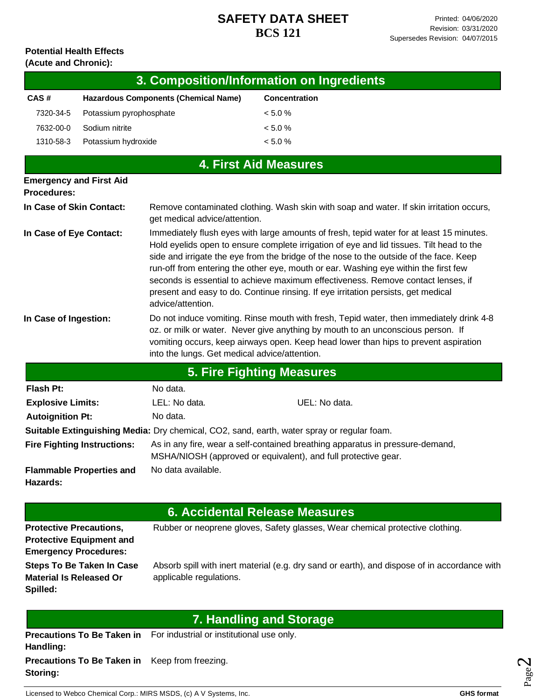#### **Potential Health Effects (Acute and Chronic):**

|                                                                                                                                                                                                                                                                                                                                             |                                                                 |                                                                                                                                                                                                                                                                                                                                                                                                                                                                                                                                                                     | 3. Composition/Information on Ingredients                                                    |  |  |
|---------------------------------------------------------------------------------------------------------------------------------------------------------------------------------------------------------------------------------------------------------------------------------------------------------------------------------------------|-----------------------------------------------------------------|---------------------------------------------------------------------------------------------------------------------------------------------------------------------------------------------------------------------------------------------------------------------------------------------------------------------------------------------------------------------------------------------------------------------------------------------------------------------------------------------------------------------------------------------------------------------|----------------------------------------------------------------------------------------------|--|--|
| CAS#                                                                                                                                                                                                                                                                                                                                        |                                                                 | <b>Hazardous Components (Chemical Name)</b>                                                                                                                                                                                                                                                                                                                                                                                                                                                                                                                         | Concentration                                                                                |  |  |
| 7320-34-5                                                                                                                                                                                                                                                                                                                                   | Potassium pyrophosphate                                         |                                                                                                                                                                                                                                                                                                                                                                                                                                                                                                                                                                     | < 5.0 %                                                                                      |  |  |
| 7632-00-0                                                                                                                                                                                                                                                                                                                                   | Sodium nitrite                                                  |                                                                                                                                                                                                                                                                                                                                                                                                                                                                                                                                                                     | < 5.0 %                                                                                      |  |  |
| 1310-58-3                                                                                                                                                                                                                                                                                                                                   | Potassium hydroxide                                             |                                                                                                                                                                                                                                                                                                                                                                                                                                                                                                                                                                     | < 5.0 %                                                                                      |  |  |
|                                                                                                                                                                                                                                                                                                                                             |                                                                 |                                                                                                                                                                                                                                                                                                                                                                                                                                                                                                                                                                     | <b>4. First Aid Measures</b>                                                                 |  |  |
| <b>Emergency and First Aid</b>                                                                                                                                                                                                                                                                                                              |                                                                 |                                                                                                                                                                                                                                                                                                                                                                                                                                                                                                                                                                     |                                                                                              |  |  |
| <b>Procedures:</b>                                                                                                                                                                                                                                                                                                                          |                                                                 |                                                                                                                                                                                                                                                                                                                                                                                                                                                                                                                                                                     |                                                                                              |  |  |
| In Case of Skin Contact:<br>get medical advice/attention.                                                                                                                                                                                                                                                                                   |                                                                 |                                                                                                                                                                                                                                                                                                                                                                                                                                                                                                                                                                     | Remove contaminated clothing. Wash skin with soap and water. If skin irritation occurs,      |  |  |
| In Case of Eye Contact:                                                                                                                                                                                                                                                                                                                     |                                                                 | Immediately flush eyes with large amounts of fresh, tepid water for at least 15 minutes.<br>Hold eyelids open to ensure complete irrigation of eye and lid tissues. Tilt head to the<br>side and irrigate the eye from the bridge of the nose to the outside of the face. Keep<br>run-off from entering the other eye, mouth or ear. Washing eye within the first few<br>seconds is essential to achieve maximum effectiveness. Remove contact lenses, if<br>present and easy to do. Continue rinsing. If eye irritation persists, get medical<br>advice/attention. |                                                                                              |  |  |
| Do not induce vomiting. Rinse mouth with fresh, Tepid water, then immediately drink 4-8<br>In Case of Ingestion:<br>oz. or milk or water. Never give anything by mouth to an unconscious person. If<br>vomiting occurs, keep airways open. Keep head lower than hips to prevent aspiration<br>into the lungs. Get medical advice/attention. |                                                                 |                                                                                                                                                                                                                                                                                                                                                                                                                                                                                                                                                                     |                                                                                              |  |  |
|                                                                                                                                                                                                                                                                                                                                             |                                                                 |                                                                                                                                                                                                                                                                                                                                                                                                                                                                                                                                                                     | <b>5. Fire Fighting Measures</b>                                                             |  |  |
| Flash Pt:                                                                                                                                                                                                                                                                                                                                   |                                                                 | No data.                                                                                                                                                                                                                                                                                                                                                                                                                                                                                                                                                            |                                                                                              |  |  |
| <b>Explosive Limits:</b>                                                                                                                                                                                                                                                                                                                    |                                                                 | LEL: No data.                                                                                                                                                                                                                                                                                                                                                                                                                                                                                                                                                       | UEL: No data.                                                                                |  |  |
| <b>Autoignition Pt:</b>                                                                                                                                                                                                                                                                                                                     |                                                                 | No data.                                                                                                                                                                                                                                                                                                                                                                                                                                                                                                                                                            |                                                                                              |  |  |
|                                                                                                                                                                                                                                                                                                                                             |                                                                 |                                                                                                                                                                                                                                                                                                                                                                                                                                                                                                                                                                     | Suitable Extinguishing Media: Dry chemical, CO2, sand, earth, water spray or regular foam.   |  |  |
|                                                                                                                                                                                                                                                                                                                                             | <b>Fire Fighting Instructions:</b>                              | As in any fire, wear a self-contained breathing apparatus in pressure-demand,<br>MSHA/NIOSH (approved or equivalent), and full protective gear.                                                                                                                                                                                                                                                                                                                                                                                                                     |                                                                                              |  |  |
| Hazards:                                                                                                                                                                                                                                                                                                                                    | <b>Flammable Properties and</b>                                 | No data available.                                                                                                                                                                                                                                                                                                                                                                                                                                                                                                                                                  |                                                                                              |  |  |
|                                                                                                                                                                                                                                                                                                                                             |                                                                 |                                                                                                                                                                                                                                                                                                                                                                                                                                                                                                                                                                     | <b>6. Accidental Release Measures</b>                                                        |  |  |
| <b>Protective Precautions,</b>                                                                                                                                                                                                                                                                                                              | <b>Protective Equipment and</b><br><b>Emergency Procedures:</b> |                                                                                                                                                                                                                                                                                                                                                                                                                                                                                                                                                                     | Rubber or neoprene gloves, Safety glasses, Wear chemical protective clothing.                |  |  |
| <b>Material Is Released Or</b><br>Spilled:                                                                                                                                                                                                                                                                                                  | <b>Steps To Be Taken In Case</b>                                | applicable regulations.                                                                                                                                                                                                                                                                                                                                                                                                                                                                                                                                             | Absorb spill with inert material (e.g. dry sand or earth), and dispose of in accordance with |  |  |
|                                                                                                                                                                                                                                                                                                                                             |                                                                 |                                                                                                                                                                                                                                                                                                                                                                                                                                                                                                                                                                     | <b>7. Handling and Storage</b>                                                               |  |  |
| Handling:                                                                                                                                                                                                                                                                                                                                   | <b>Precautions To Be Taken in</b>                               | For industrial or institutional use only.                                                                                                                                                                                                                                                                                                                                                                                                                                                                                                                           |                                                                                              |  |  |

**Precautions To Be Taken in**  Keep from freezing. **Storing:**

Page  $\boldsymbol{\sim}$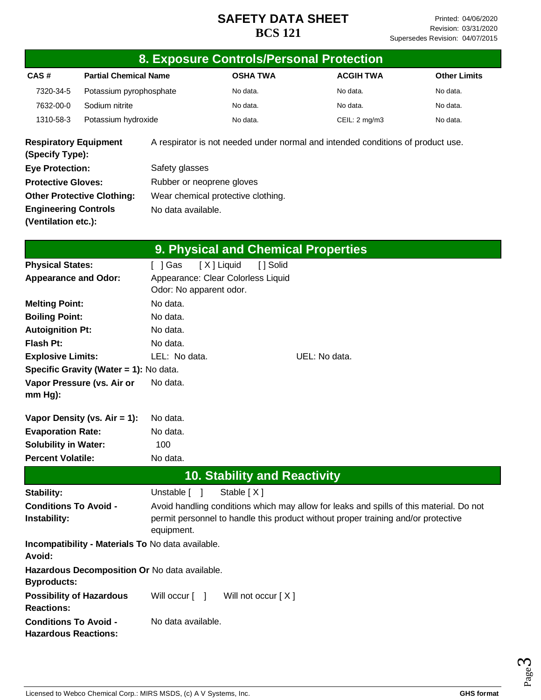|                                                             |                                                   | 8. Exposure Controls/Personal Protection                                                                                                                                                   |                                                                                 |                                     |               |                  |  |                     |  |
|-------------------------------------------------------------|---------------------------------------------------|--------------------------------------------------------------------------------------------------------------------------------------------------------------------------------------------|---------------------------------------------------------------------------------|-------------------------------------|---------------|------------------|--|---------------------|--|
| CAS#                                                        | <b>Partial Chemical Name</b>                      |                                                                                                                                                                                            |                                                                                 | <b>OSHA TWA</b>                     |               | <b>ACGIH TWA</b> |  | <b>Other Limits</b> |  |
| 7320-34-5                                                   | Potassium pyrophosphate                           |                                                                                                                                                                                            |                                                                                 | No data.                            |               | No data.         |  | No data.            |  |
| 7632-00-0                                                   | Sodium nitrite                                    |                                                                                                                                                                                            |                                                                                 | No data.                            |               | No data.         |  | No data.            |  |
| 1310-58-3                                                   | Potassium hydroxide                               |                                                                                                                                                                                            |                                                                                 | No data.                            |               | CEIL: 2 mg/m3    |  | No data.            |  |
| <b>Respiratory Equipment</b><br>(Specify Type):             |                                                   |                                                                                                                                                                                            | A respirator is not needed under normal and intended conditions of product use. |                                     |               |                  |  |                     |  |
| <b>Eye Protection:</b>                                      |                                                   | Safety glasses                                                                                                                                                                             |                                                                                 |                                     |               |                  |  |                     |  |
| <b>Protective Gloves:</b>                                   |                                                   | Rubber or neoprene gloves                                                                                                                                                                  |                                                                                 |                                     |               |                  |  |                     |  |
|                                                             | <b>Other Protective Clothing:</b>                 |                                                                                                                                                                                            | Wear chemical protective clothing.                                              |                                     |               |                  |  |                     |  |
| <b>Engineering Controls</b>                                 |                                                   | No data available.                                                                                                                                                                         |                                                                                 |                                     |               |                  |  |                     |  |
| (Ventilation etc.):                                         |                                                   |                                                                                                                                                                                            |                                                                                 |                                     |               |                  |  |                     |  |
|                                                             |                                                   |                                                                                                                                                                                            |                                                                                 | 9. Physical and Chemical Properties |               |                  |  |                     |  |
| <b>Physical States:</b>                                     |                                                   | [ ] Gas                                                                                                                                                                                    | [X] Liquid                                                                      | [] Solid                            |               |                  |  |                     |  |
| <b>Appearance and Odor:</b>                                 |                                                   |                                                                                                                                                                                            | Appearance: Clear Colorless Liquid<br>Odor: No apparent odor.                   |                                     |               |                  |  |                     |  |
| <b>Melting Point:</b>                                       |                                                   | No data.                                                                                                                                                                                   |                                                                                 |                                     |               |                  |  |                     |  |
| <b>Boiling Point:</b>                                       |                                                   | No data.                                                                                                                                                                                   |                                                                                 |                                     |               |                  |  |                     |  |
| <b>Autoignition Pt:</b>                                     |                                                   | No data.                                                                                                                                                                                   |                                                                                 |                                     |               |                  |  |                     |  |
| Flash Pt:                                                   |                                                   | No data.                                                                                                                                                                                   |                                                                                 |                                     |               |                  |  |                     |  |
| <b>Explosive Limits:</b>                                    |                                                   | LEL: No data.                                                                                                                                                                              |                                                                                 |                                     | UEL: No data. |                  |  |                     |  |
|                                                             | Specific Gravity (Water = 1): No data.            |                                                                                                                                                                                            |                                                                                 |                                     |               |                  |  |                     |  |
| mm Hg):                                                     | Vapor Pressure (vs. Air or                        | No data.                                                                                                                                                                                   |                                                                                 |                                     |               |                  |  |                     |  |
|                                                             | Vapor Density (vs. Air = 1):                      | No data.                                                                                                                                                                                   |                                                                                 |                                     |               |                  |  |                     |  |
| <b>Evaporation Rate:</b>                                    |                                                   | No data.                                                                                                                                                                                   |                                                                                 |                                     |               |                  |  |                     |  |
| <b>Solubility in Water:</b>                                 |                                                   | 100                                                                                                                                                                                        |                                                                                 |                                     |               |                  |  |                     |  |
| <b>Percent Volatile:</b>                                    |                                                   | No data.                                                                                                                                                                                   |                                                                                 |                                     |               |                  |  |                     |  |
|                                                             |                                                   |                                                                                                                                                                                            |                                                                                 | <b>10. Stability and Reactivity</b> |               |                  |  |                     |  |
| Stability:                                                  |                                                   | Unstable [ ]                                                                                                                                                                               |                                                                                 | Stable [X]                          |               |                  |  |                     |  |
| <b>Conditions To Avoid -</b><br>Instability:                |                                                   | Avoid handling conditions which may allow for leaks and spills of this material. Do not<br>permit personnel to handle this product without proper training and/or protective<br>equipment. |                                                                                 |                                     |               |                  |  |                     |  |
| Avoid:                                                      | Incompatibility - Materials To No data available. |                                                                                                                                                                                            |                                                                                 |                                     |               |                  |  |                     |  |
| <b>Byproducts:</b>                                          | Hazardous Decomposition Or No data available.     |                                                                                                                                                                                            |                                                                                 |                                     |               |                  |  |                     |  |
| <b>Possibility of Hazardous</b><br><b>Reactions:</b>        |                                                   | Will occur $\lceil \quad \rceil$                                                                                                                                                           |                                                                                 | Will not occur [X]                  |               |                  |  |                     |  |
| <b>Conditions To Avoid -</b><br><b>Hazardous Reactions:</b> |                                                   | No data available.                                                                                                                                                                         |                                                                                 |                                     |               |                  |  |                     |  |

Page ო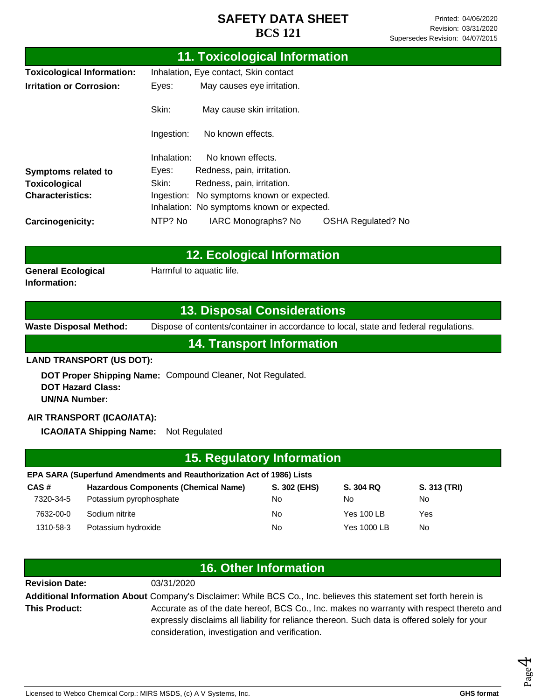| <b>11. Toxicological Information</b> |                                              |                                            |                           |  |  |
|--------------------------------------|----------------------------------------------|--------------------------------------------|---------------------------|--|--|
| <b>Toxicological Information:</b>    | Inhalation, Eye contact, Skin contact        |                                            |                           |  |  |
| <b>Irritation or Corrosion:</b>      | Eyes:                                        | May causes eye irritation.                 |                           |  |  |
|                                      | Skin:                                        | May cause skin irritation.                 |                           |  |  |
|                                      | Ingestion:                                   | No known effects.                          |                           |  |  |
|                                      | Inhalation:                                  | No known effects.                          |                           |  |  |
| <b>Symptoms related to</b>           | Eyes:                                        | Redness, pain, irritation.                 |                           |  |  |
| <b>Toxicological</b>                 | Skin:                                        | Redness, pain, irritation.                 |                           |  |  |
| <b>Characteristics:</b>              | No symptoms known or expected.<br>Ingestion: |                                            |                           |  |  |
|                                      |                                              | Inhalation: No symptoms known or expected. |                           |  |  |
| Carcinogenicity:                     | NTP? No                                      | IARC Monographs? No                        | <b>OSHA Regulated? No</b> |  |  |

|                           | 12. Ecological Information |  |  |
|---------------------------|----------------------------|--|--|
| <b>General Ecological</b> | Harmful to aquatic life.   |  |  |

#### **13. Disposal Considerations**

**Information:**

**Waste Disposal Method:** Dispose of contents/container in accordance to local, state and federal regulations.

#### **14. Transport Information**

#### **LAND TRANSPORT (US DOT):**

**DOT Proper Shipping Name:**  Compound Cleaner, Not Regulated. **DOT Hazard Class: UN/NA Number:**

#### **AIR TRANSPORT (ICAO/IATA):**

**ICAO/IATA Shipping Name:** Not Regulated

| 15. Regulatory Information                                            |                                             |              |                   |              |  |
|-----------------------------------------------------------------------|---------------------------------------------|--------------|-------------------|--------------|--|
| EPA SARA (Superfund Amendments and Reauthorization Act of 1986) Lists |                                             |              |                   |              |  |
| CAS#                                                                  | <b>Hazardous Components (Chemical Name)</b> | S. 302 (EHS) | S. 304 RQ         | S. 313 (TRI) |  |
| 7320-34-5                                                             | Potassium pyrophosphate                     | No           | No                | No.          |  |
| 7632-00-0                                                             | Sodium nitrite                              | No           | <b>Yes 100 LB</b> | Yes          |  |
| 1310-58-3                                                             | Potassium hydroxide                         | No           | Yes 1000 LB       | No.          |  |

| <b>16. Other Information</b>                                                                                       |                                                                                              |  |  |  |
|--------------------------------------------------------------------------------------------------------------------|----------------------------------------------------------------------------------------------|--|--|--|
| <b>Revision Date:</b>                                                                                              | 03/31/2020                                                                                   |  |  |  |
| Additional Information About Company's Disclaimer: While BCS Co., Inc. believes this statement set forth herein is |                                                                                              |  |  |  |
| <b>This Product:</b>                                                                                               | Accurate as of the date hereof, BCS Co., Inc. makes no warranty with respect thereto and     |  |  |  |
|                                                                                                                    | expressly disclaims all liability for reliance thereon. Such data is offered solely for your |  |  |  |
|                                                                                                                    | consideration, investigation and verification.                                               |  |  |  |